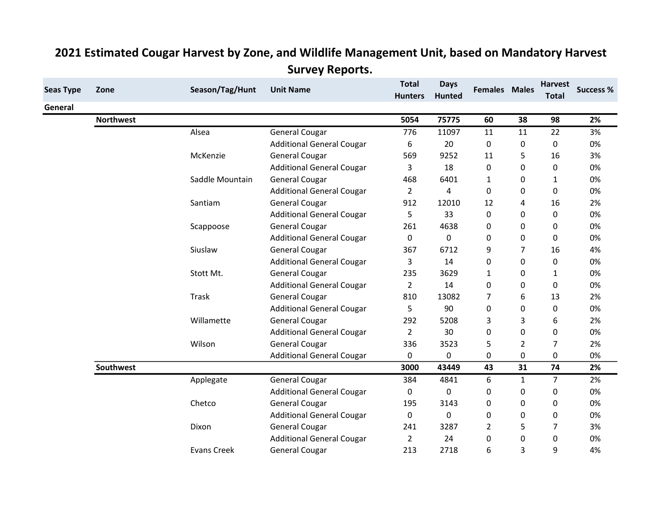| <b>Seas Type</b> | Zone             | Season/Tag/Hunt    | <b>Unit Name</b>                 | <b>Total</b><br><b>Hunters</b> | <b>Days</b><br><b>Hunted</b> | <b>Females Males</b> |                | <b>Harvest</b><br><b>Total</b> | <b>Success %</b> |
|------------------|------------------|--------------------|----------------------------------|--------------------------------|------------------------------|----------------------|----------------|--------------------------------|------------------|
| General          |                  |                    |                                  |                                |                              |                      |                |                                |                  |
|                  | <b>Northwest</b> |                    |                                  | 5054                           | 75775                        | 60                   | 38             | 98                             | 2%               |
|                  |                  | Alsea              | <b>General Cougar</b>            | 776                            | 11097                        | 11                   | 11             | 22                             | 3%               |
|                  |                  |                    | <b>Additional General Cougar</b> | 6                              | 20                           | 0                    | 0              | $\Omega$                       | 0%               |
|                  |                  | McKenzie           | <b>General Cougar</b>            | 569                            | 9252                         | 11                   | 5              | 16                             | 3%               |
|                  |                  |                    | <b>Additional General Cougar</b> | 3                              | 18                           | 0                    | 0              | 0                              | 0%               |
|                  |                  | Saddle Mountain    | <b>General Cougar</b>            | 468                            | 6401                         | 1                    | 0              | 1                              | 0%               |
|                  |                  |                    | <b>Additional General Cougar</b> | $\overline{2}$                 | $\overline{4}$               | $\Omega$             | 0              | $\Omega$                       | 0%               |
|                  |                  | Santiam            | <b>General Cougar</b>            | 912                            | 12010                        | 12                   | 4              | 16                             | 2%               |
|                  |                  |                    | <b>Additional General Cougar</b> | 5                              | 33                           | 0                    | 0              | 0                              | 0%               |
|                  |                  | Scappoose          | <b>General Cougar</b>            | 261                            | 4638                         | 0                    | 0              | 0                              | 0%               |
|                  |                  |                    | <b>Additional General Cougar</b> | 0                              | 0                            | 0                    | 0              | 0                              | 0%               |
|                  |                  | Siuslaw            | <b>General Cougar</b>            | 367                            | 6712                         | 9                    | 7              | 16                             | 4%               |
|                  |                  |                    | <b>Additional General Cougar</b> | 3                              | 14                           | 0                    | 0              | 0                              | 0%               |
|                  |                  | Stott Mt.          | <b>General Cougar</b>            | 235                            | 3629                         | $\mathbf{1}$         | 0              | 1                              | 0%               |
|                  |                  |                    | <b>Additional General Cougar</b> | $\overline{2}$                 | 14                           | 0                    | 0              | 0                              | 0%               |
|                  |                  | Trask              | <b>General Cougar</b>            | 810                            | 13082                        | 7                    | 6              | 13                             | 2%               |
|                  |                  |                    | <b>Additional General Cougar</b> | 5                              | 90                           | 0                    | 0              | 0                              | 0%               |
|                  |                  | Willamette         | <b>General Cougar</b>            | 292                            | 5208                         | 3                    | 3              | 6                              | 2%               |
|                  |                  |                    | <b>Additional General Cougar</b> | $\overline{2}$                 | 30                           | 0                    | 0              | 0                              | 0%               |
|                  |                  | Wilson             | <b>General Cougar</b>            | 336                            | 3523                         | 5                    | $\overline{2}$ | 7                              | 2%               |
|                  |                  |                    | <b>Additional General Cougar</b> | 0                              | 0                            | 0                    | 0              | 0                              | 0%               |
|                  | Southwest        |                    |                                  | 3000                           | 43449                        | 43                   | 31             | 74                             | 2%               |
|                  |                  | Applegate          | <b>General Cougar</b>            | 384                            | 4841                         | 6                    | $\mathbf{1}$   | 7                              | 2%               |
|                  |                  |                    | <b>Additional General Cougar</b> | 0                              | 0                            | 0                    | 0              | 0                              | 0%               |
|                  |                  | Chetco             | <b>General Cougar</b>            | 195                            | 3143                         | 0                    | 0              | 0                              | 0%               |
|                  |                  |                    | <b>Additional General Cougar</b> | 0                              | $\mathbf 0$                  | 0                    | 0              | 0                              | 0%               |
|                  |                  | Dixon              | <b>General Cougar</b>            | 241                            | 3287                         | 2                    | 5              | 7                              | 3%               |
|                  |                  |                    | <b>Additional General Cougar</b> | $\overline{2}$                 | 24                           | 0                    | 0              | 0                              | 0%               |
|                  |                  | <b>Evans Creek</b> | <b>General Cougar</b>            | 213                            | 2718                         | 6                    | 3              | 9                              | 4%               |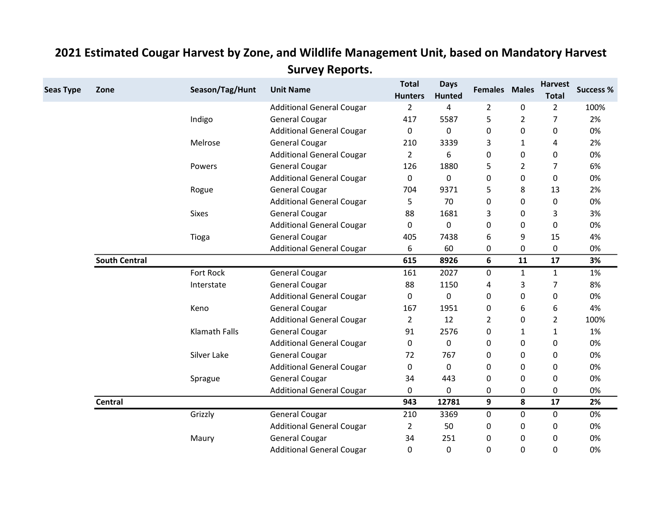| <b>Seas Type</b> | Zone                 | Season/Tag/Hunt      | <b>Unit Name</b>                 | <b>Total</b><br><b>Hunters</b> | <b>Days</b><br><b>Hunted</b> | <b>Females Males</b> |                | <b>Harvest</b><br><b>Total</b> | <b>Success %</b> |
|------------------|----------------------|----------------------|----------------------------------|--------------------------------|------------------------------|----------------------|----------------|--------------------------------|------------------|
|                  |                      |                      | <b>Additional General Cougar</b> | $\overline{2}$                 | 4                            | $\overline{2}$       | 0              | $\overline{2}$                 | 100%             |
|                  |                      | Indigo               | <b>General Cougar</b>            | 417                            | 5587                         | 5                    | $\overline{2}$ | 7                              | 2%               |
|                  |                      |                      | <b>Additional General Cougar</b> | 0                              | 0                            | 0                    | 0              | 0                              | 0%               |
|                  |                      | Melrose              | <b>General Cougar</b>            | 210                            | 3339                         | 3                    | 1              | 4                              | 2%               |
|                  |                      |                      | <b>Additional General Cougar</b> | $\overline{2}$                 | 6                            | 0                    | 0              | 0                              | 0%               |
|                  |                      | Powers               | <b>General Cougar</b>            | 126                            | 1880                         | 5                    | 2              | 7                              | 6%               |
|                  |                      |                      | <b>Additional General Cougar</b> | 0                              | 0                            | 0                    | 0              | 0                              | 0%               |
|                  |                      | Rogue                | <b>General Cougar</b>            | 704                            | 9371                         | 5                    | 8              | 13                             | 2%               |
|                  |                      |                      | <b>Additional General Cougar</b> | 5                              | 70                           | 0                    | 0              | 0                              | 0%               |
|                  |                      | <b>Sixes</b>         | <b>General Cougar</b>            | 88                             | 1681                         | 3                    | 0              | 3                              | 3%               |
|                  |                      |                      | <b>Additional General Cougar</b> | 0                              | $\Omega$                     | 0                    | 0              | 0                              | 0%               |
|                  |                      | Tioga                | <b>General Cougar</b>            | 405                            | 7438                         | 6                    | 9              | 15                             | 4%               |
|                  |                      |                      | <b>Additional General Cougar</b> | 6                              | 60                           | 0                    | 0              | 0                              | 0%               |
|                  | <b>South Central</b> |                      |                                  | 615                            | 8926                         | 6                    | 11             | 17                             | 3%               |
|                  |                      | Fort Rock            | <b>General Cougar</b>            | 161                            | 2027                         | 0                    | $\mathbf{1}$   | $\mathbf{1}$                   | 1%               |
|                  |                      | Interstate           | <b>General Cougar</b>            | 88                             | 1150                         | 4                    | 3              | 7                              | 8%               |
|                  |                      |                      | <b>Additional General Cougar</b> | $\Omega$                       | $\mathbf{0}$                 | 0                    | 0              | 0                              | 0%               |
|                  |                      | Keno                 | <b>General Cougar</b>            | 167                            | 1951                         | 0                    | 6              | 6                              | 4%               |
|                  |                      |                      | <b>Additional General Cougar</b> | $\overline{2}$                 | 12                           | $\overline{2}$       | 0              | $\overline{2}$                 | 100%             |
|                  |                      | <b>Klamath Falls</b> | <b>General Cougar</b>            | 91                             | 2576                         | 0                    | $\mathbf{1}$   | 1                              | 1%               |
|                  |                      |                      | <b>Additional General Cougar</b> | 0                              | 0                            | 0                    | 0              | 0                              | 0%               |
|                  |                      | Silver Lake          | <b>General Cougar</b>            | 72                             | 767                          | 0                    | 0              | 0                              | 0%               |
|                  |                      |                      | <b>Additional General Cougar</b> | 0                              | $\mathbf{0}$                 | 0                    | 0              | 0                              | 0%               |
|                  |                      | Sprague              | <b>General Cougar</b>            | 34                             | 443                          | 0                    | 0              | 0                              | 0%               |
|                  |                      |                      | <b>Additional General Cougar</b> | 0                              | 0                            | 0                    | 0              | 0                              | 0%               |
|                  | <b>Central</b>       |                      |                                  | 943                            | 12781                        | 9                    | 8              | 17                             | 2%               |
|                  |                      | Grizzly              | <b>General Cougar</b>            | 210                            | 3369                         | 0                    | 0              | 0                              | 0%               |
|                  |                      |                      | <b>Additional General Cougar</b> | 2                              | 50                           | 0                    | 0              | 0                              | 0%               |
|                  |                      | Maury                | General Cougar                   | 34                             | 251                          | 0                    | 0              | 0                              | 0%               |
|                  |                      |                      | <b>Additional General Cougar</b> | 0                              | 0                            | 0                    | 0              | 0                              | 0%               |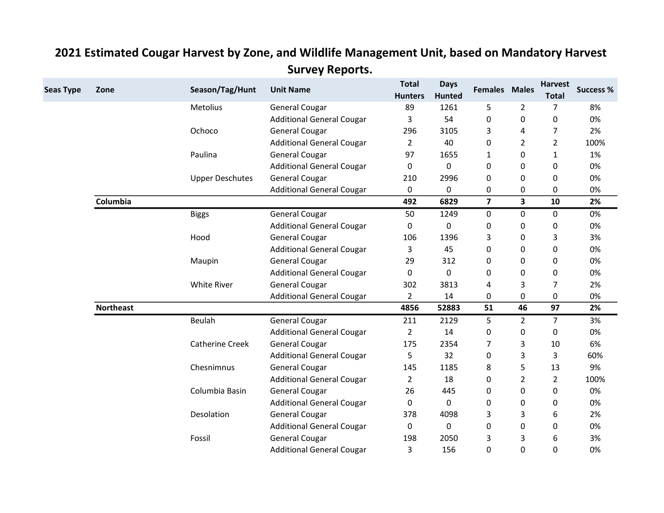| <b>Seas Type</b> | Zone             | Season/Tag/Hunt        | <b>Unit Name</b>                 | <b>Total</b><br><b>Hunters</b> | <b>Days</b><br><b>Hunted</b> | <b>Females Males</b> |                         | <b>Harvest</b><br><b>Total</b> | <b>Success %</b> |
|------------------|------------------|------------------------|----------------------------------|--------------------------------|------------------------------|----------------------|-------------------------|--------------------------------|------------------|
|                  |                  | Metolius               | <b>General Cougar</b>            | 89                             | 1261                         | 5                    | 2                       | 7                              | 8%               |
|                  |                  |                        | <b>Additional General Cougar</b> | 3                              | 54                           | 0                    | 0                       | 0                              | 0%               |
|                  |                  | Ochoco                 | <b>General Cougar</b>            | 296                            | 3105                         | 3                    | 4                       | 7                              | 2%               |
|                  |                  |                        | <b>Additional General Cougar</b> | $\overline{2}$                 | 40                           | 0                    | $\overline{2}$          | $\overline{2}$                 | 100%             |
|                  |                  | Paulina                | <b>General Cougar</b>            | 97                             | 1655                         | 1                    | 0                       | 1                              | 1%               |
|                  |                  |                        | <b>Additional General Cougar</b> | $\Omega$                       | $\Omega$                     | 0                    | 0                       | 0                              | 0%               |
|                  |                  | <b>Upper Deschutes</b> | <b>General Cougar</b>            | 210                            | 2996                         | 0                    | 0                       | 0                              | 0%               |
|                  |                  |                        | <b>Additional General Cougar</b> | 0                              | 0                            | 0                    | 0                       | 0                              | 0%               |
|                  | Columbia         |                        |                                  | 492                            | 6829                         | $\overline{7}$       | $\overline{\mathbf{3}}$ | 10                             | 2%               |
|                  |                  | <b>Biggs</b>           | <b>General Cougar</b>            | 50                             | 1249                         | 0                    | $\pmb{0}$               | 0                              | 0%               |
|                  |                  |                        | <b>Additional General Cougar</b> | $\mathbf{0}$                   | 0                            | 0                    | 0                       | 0                              | 0%               |
|                  |                  | Hood                   | <b>General Cougar</b>            | 106                            | 1396                         | 3                    | 0                       | 3                              | 3%               |
|                  |                  |                        | <b>Additional General Cougar</b> | 3                              | 45                           | 0                    | 0                       | 0                              | 0%               |
|                  |                  | Maupin                 | <b>General Cougar</b>            | 29                             | 312                          | 0                    | 0                       | 0                              | 0%               |
|                  |                  |                        | <b>Additional General Cougar</b> | $\mathbf 0$                    | 0                            | 0                    | 0                       | 0                              | 0%               |
|                  |                  | <b>White River</b>     | <b>General Cougar</b>            | 302                            | 3813                         | 4                    | 3                       | 7                              | 2%               |
|                  |                  |                        | <b>Additional General Cougar</b> | $\overline{2}$                 | 14                           | 0                    | 0                       | 0                              | 0%               |
|                  | <b>Northeast</b> |                        |                                  | 4856                           | 52883                        | 51                   | 46                      | 97                             | 2%               |
|                  |                  | Beulah                 | <b>General Cougar</b>            | 211                            | 2129                         | 5                    | $\overline{2}$          | $\overline{7}$                 | 3%               |
|                  |                  |                        | <b>Additional General Cougar</b> | $\overline{2}$                 | 14                           | 0                    | 0                       | 0                              | 0%               |
|                  |                  | <b>Catherine Creek</b> | <b>General Cougar</b>            | 175                            | 2354                         | 7                    | 3                       | 10                             | 6%               |
|                  |                  |                        | <b>Additional General Cougar</b> | 5                              | 32                           | 0                    | 3                       | 3                              | 60%              |
|                  |                  | Chesnimnus             | <b>General Cougar</b>            | 145                            | 1185                         | 8                    | 5                       | 13                             | 9%               |
|                  |                  |                        | <b>Additional General Cougar</b> | $\overline{2}$                 | 18                           | 0                    | $\overline{2}$          | $\overline{2}$                 | 100%             |
|                  |                  | Columbia Basin         | <b>General Cougar</b>            | 26                             | 445                          | 0                    | 0                       | 0                              | 0%               |
|                  |                  |                        | <b>Additional General Cougar</b> | 0                              | $\mathbf{0}$                 | 0                    | 0                       | 0                              | 0%               |
|                  |                  | Desolation             | <b>General Cougar</b>            | 378                            | 4098                         | 3                    | 3                       | 6                              | 2%               |
|                  |                  |                        | <b>Additional General Cougar</b> | $\mathbf{0}$                   | $\mathbf{0}$                 | 0                    | 0                       | 0                              | 0%               |
|                  |                  | Fossil                 | <b>General Cougar</b>            | 198                            | 2050                         | 3                    | 3                       | 6                              | 3%               |
|                  |                  |                        | <b>Additional General Cougar</b> | 3                              | 156                          | 0                    | 0                       | 0                              | 0%               |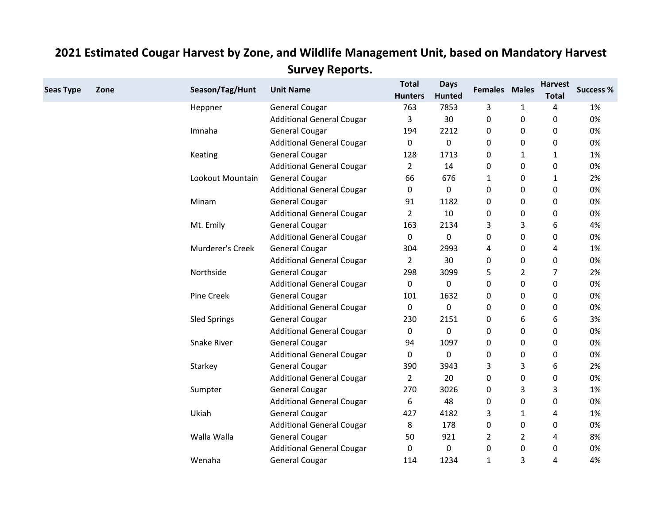| <b>Seas Type</b> | Zone | Season/Tag/Hunt     | <b>Unit Name</b>                 | <b>Total</b><br><b>Hunters</b> | <b>Days</b><br><b>Hunted</b> | <b>Females Males</b> |                | <b>Harvest</b><br><b>Total</b> | <b>Success %</b> |
|------------------|------|---------------------|----------------------------------|--------------------------------|------------------------------|----------------------|----------------|--------------------------------|------------------|
|                  |      | Heppner             | <b>General Cougar</b>            | 763                            | 7853                         | 3                    | $\mathbf{1}$   | 4                              | 1%               |
|                  |      |                     | <b>Additional General Cougar</b> | 3                              | 30                           | 0                    | 0              | 0                              | 0%               |
|                  |      | Imnaha              | <b>General Cougar</b>            | 194                            | 2212                         | 0                    | 0              | 0                              | 0%               |
|                  |      |                     | <b>Additional General Cougar</b> | $\mathbf 0$                    | $\mathbf 0$                  | 0                    | 0              | 0                              | 0%               |
|                  |      | Keating             | <b>General Cougar</b>            | 128                            | 1713                         | 0                    | $\mathbf{1}$   | 1                              | 1%               |
|                  |      |                     | <b>Additional General Cougar</b> | $\overline{2}$                 | 14                           | 0                    | 0              | 0                              | 0%               |
|                  |      | Lookout Mountain    | <b>General Cougar</b>            | 66                             | 676                          | 1                    | 0              | 1                              | 2%               |
|                  |      |                     | <b>Additional General Cougar</b> | 0                              | $\mathbf 0$                  | 0                    | 0              | 0                              | 0%               |
|                  |      | Minam               | <b>General Cougar</b>            | 91                             | 1182                         | 0                    | 0              | 0                              | 0%               |
|                  |      |                     | <b>Additional General Cougar</b> | $\overline{2}$                 | 10                           | 0                    | 0              | 0                              | 0%               |
|                  |      | Mt. Emily           | <b>General Cougar</b>            | 163                            | 2134                         | 3                    | 3              | 6                              | 4%               |
|                  |      |                     | <b>Additional General Cougar</b> | 0                              | 0                            | 0                    | 0              | 0                              | 0%               |
|                  |      | Murderer's Creek    | <b>General Cougar</b>            | 304                            | 2993                         | 4                    | 0              | 4                              | 1%               |
|                  |      |                     | <b>Additional General Cougar</b> | $\overline{2}$                 | 30                           | 0                    | 0              | 0                              | 0%               |
|                  |      | Northside           | <b>General Cougar</b>            | 298                            | 3099                         | 5                    | $\overline{2}$ | 7                              | 2%               |
|                  |      |                     | <b>Additional General Cougar</b> | 0                              | 0                            | 0                    | 0              | 0                              | 0%               |
|                  |      | <b>Pine Creek</b>   | <b>General Cougar</b>            | 101                            | 1632                         | 0                    | 0              | 0                              | 0%               |
|                  |      |                     | <b>Additional General Cougar</b> | 0                              | 0                            | 0                    | 0              | 0                              | 0%               |
|                  |      | <b>Sled Springs</b> | <b>General Cougar</b>            | 230                            | 2151                         | 0                    | 6              | 6                              | 3%               |
|                  |      |                     | <b>Additional General Cougar</b> | 0                              | 0                            | 0                    | $\pmb{0}$      | $\pmb{0}$                      | 0%               |
|                  |      | <b>Snake River</b>  | <b>General Cougar</b>            | 94                             | 1097                         | 0                    | 0              | 0                              | 0%               |
|                  |      |                     | <b>Additional General Cougar</b> | 0                              | $\mathbf{0}$                 | 0                    | 0              | 0                              | 0%               |
|                  |      | Starkey             | <b>General Cougar</b>            | 390                            | 3943                         | 3                    | 3              | 6                              | 2%               |
|                  |      |                     | <b>Additional General Cougar</b> | $\overline{2}$                 | 20                           | 0                    | 0              | 0                              | 0%               |
|                  |      | Sumpter             | <b>General Cougar</b>            | 270                            | 3026                         | 0                    | 3              | 3                              | 1%               |
|                  |      |                     | <b>Additional General Cougar</b> | 6                              | 48                           | 0                    | 0              | 0                              | 0%               |
|                  |      | Ukiah               | <b>General Cougar</b>            | 427                            | 4182                         | 3                    | 1              | 4                              | 1%               |
|                  |      |                     | <b>Additional General Cougar</b> | 8                              | 178                          | 0                    | 0              | 0                              | 0%               |
|                  |      | Walla Walla         | <b>General Cougar</b>            | 50                             | 921                          | $\overline{2}$       | $\overline{2}$ | 4                              | 8%               |
|                  |      |                     | <b>Additional General Cougar</b> | $\Omega$                       | 0                            | 0                    | 0              | 0                              | 0%               |
|                  |      | Wenaha              | <b>General Cougar</b>            | 114                            | 1234                         | $\mathbf{1}$         | 3              | $\overline{a}$                 | 4%               |